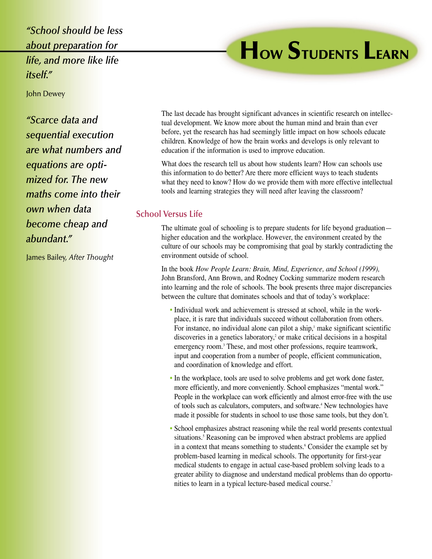*"School should be less about preparation for life, and more like life itself."*

# **HOW STUDENTS LEARN**

John Dewey

*"Scarce data and sequential execution are what numbers and equations are optimized for. The new maths come into their own when data become cheap and abundant."*

James Bailey, *After Thought*

The last decade has brought significant advances in scientific research on intellectual development. We know more about the human mind and brain than ever before, yet the research has had seemingly little impact on how schools educate children. Knowledge of how the brain works and develops is only relevant to education if the information is used to improve education.

What does the research tell us about how students learn? How can schools use this information to do better? Are there more efficient ways to teach students what they need to know? How do we provide them with more effective intellectual tools and learning strategies they will need after leaving the classroom?

### **School Versus Life**

The ultimate goal of schooling is to prepare students for life beyond graduation higher education and the workplace. However, the environment created by the culture of our schools may be compromising that goal by starkly contradicting the environment outside of school.

In the book *How People Learn: Brain, Mind, Experience, and School (1999),* John Bransford, Ann Brown, and Rodney Cocking summarize modern research into learning and the role of schools. The book presents three major discrepancies between the culture that dominates schools and that of today's workplace:

- Individual work and achievement is stressed at school, while in the workplace, it is rare that individuals succeed without collaboration from others. For instance, no individual alone can pilot a ship, $1$  make significant scientific discoveries in a genetics laboratory, $2$  or make critical decisions in a hospital emergency room.<sup>3</sup> These, and most other professions, require teamwork, input and cooperation from a number of people, efficient communication, and coordination of knowledge and effort.
- In the workplace, tools are used to solve problems and get work done faster, more efficiently, and more conveniently. School emphasizes "mental work." People in the workplace can work efficiently and almost error-free with the use of tools such as calculators, computers, and software.<sup>4</sup> New technologies have made it possible for students in school to use those same tools, but they don't.
- School emphasizes abstract reasoning while the real world presents contextual situations.<sup>5</sup> Reasoning can be improved when abstract problems are applied in a context that means something to students.<sup>6</sup> Consider the example set by problem-based learning in medical schools. The opportunity for first-year medical students to engage in actual case-based problem solving leads to a greater ability to diagnose and understand medical problems than do opportunities to learn in a typical lecture-based medical course.7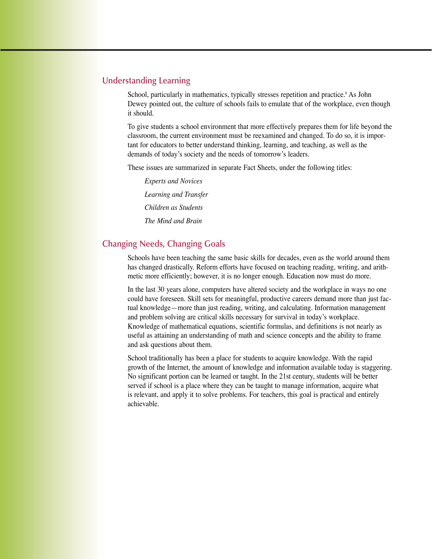#### **Understanding Learning**

School, particularly in mathematics, typically stresses repetition and practice.<sup>8</sup> As John Dewey pointed out, the culture of schools fails to emulate that of the workplace, even though it should.

To give students a school environment that more effectively prepares them for life beyond the classroom, the current environment must be reexamined and changed. To do so, it is important for educators to better understand thinking, learning, and teaching, as well as the demands of today's society and the needs of tomorrow's leaders.

These issues are summarized in separate Fact Sheets, under the following titles:

*Experts and Novices Learning and Transfer Children as Students The Mind and Brain*

## **Changing Needs, Changing Goals**

Schools have been teaching the same basic skills for decades, even as the world around them has changed drastically. Reform efforts have focused on teaching reading, writing, and arithmetic more efficiently; however, it is no longer enough. Education now must do more.

In the last 30 years alone, computers have altered society and the workplace in ways no one could have foreseen. Skill sets for meaningful, productive careers demand more than just factual knowledge—more than just reading, writing, and calculating. Information management and problem solving are critical skills necessary for survival in today's workplace. Knowledge of mathematical equations, scientific formulas, and definitions is not nearly as useful as attaining an understanding of math and science concepts and the ability to frame and ask questions about them.

School traditionally has been a place for students to acquire knowledge. With the rapid growth of the Internet, the amount of knowledge and information available today is staggering. No significant portion can be learned or taught. In the 21st century, students will be better served if school is a place where they can be taught to manage information, acquire what is relevant, and apply it to solve problems. For teachers, this goal is practical and entirely achievable.